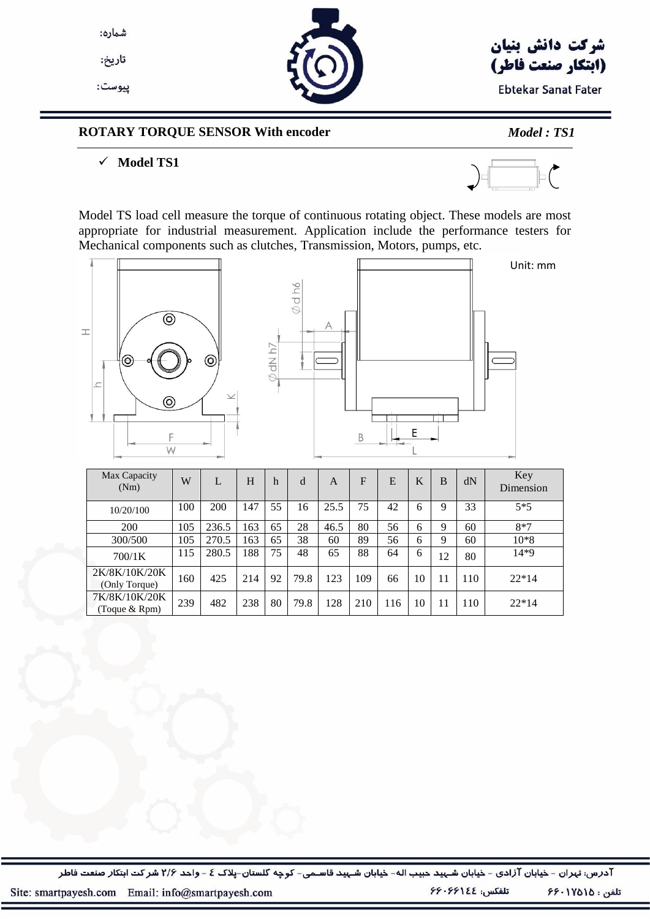

تاريخ:

پيوست:



## شركت دانش بنيان (ابتكار صنعت فاطر)

**Ebtekar Sanat Fater** 

#### **ROTARY TORQUE SENSOR With encoder** *Model : TS1*

#### $\checkmark$  Model TS1



Model TS load cell measure the torque of continuous rotating object. These models are most appropriate for industrial measurement. Application include the performance testers for Mechanical components such as clutches, Transmission, Motors, pumps, etc.



200 | 105 | 236.5 | 163 | 65 | 28 | 46.5 | 80 | 56 | 6 | 9 | 60 | 8\*7 300/500 | 105 | 270.5 | 163 | 65 | 38 | 60 | 89 | 56 | 6 | 9 | 60 | 10\*8  $700/1$ K 115 280.5 188 75 48 65 88 64 6 12 80 14\*9

(Only Torque) <sup>160</sup> <sup>425</sup> <sup>214</sup> <sup>92</sup> 79.8 <sup>123</sup> <sup>109</sup> <sup>66</sup> <sup>10</sup> <sup>11</sup> <sup>110</sup> 22\*14

 $(\text{Toque & Rpm})$  239 482 238 80 79.8 128 210 116 10 11 110 22\*14

آدرس: تہران - خیابان آزادی - خیابان شـہید حبیب اله- خیابان شـہید قاسـمی- کوچه گلستان-پلاک ٤ - واحد ٢/۶ شركت ابتكار صنعت فاطر

2K/8K/10K/20K

7K/8K/10K/20K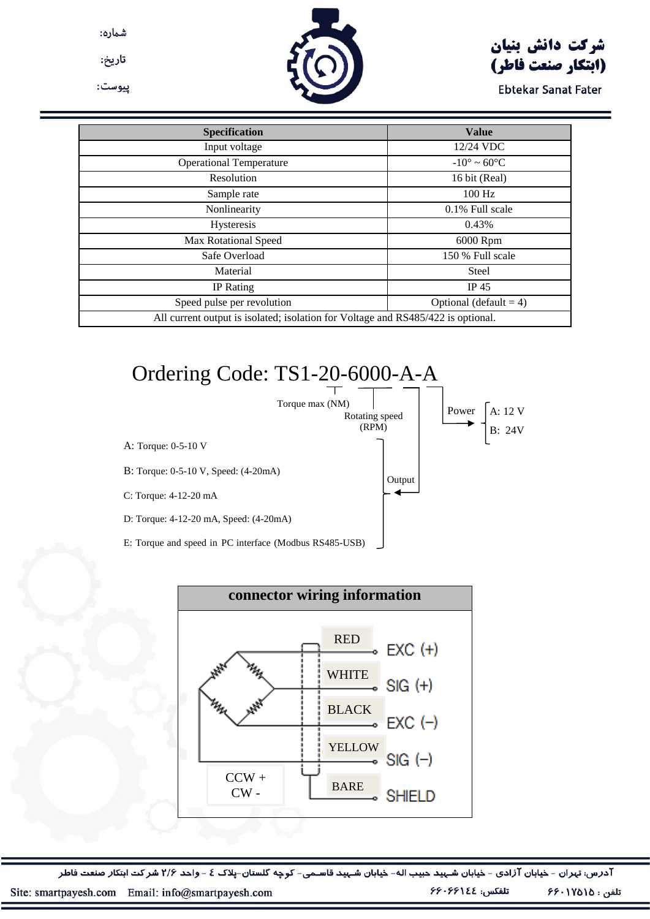شماره:

تاريخ:

پيوست:

## شركت دانش بنيان (ابتكار صنعت فاطر)

**Ebtekar Sanat Fater** 

| <b>Specification</b>                                                             | <b>Value</b>                   |  |  |  |
|----------------------------------------------------------------------------------|--------------------------------|--|--|--|
| Input voltage                                                                    | 12/24 VDC                      |  |  |  |
| <b>Operational Temperature</b>                                                   | $-10^{\circ} \sim 60^{\circ}C$ |  |  |  |
| Resolution                                                                       | 16 bit (Real)                  |  |  |  |
| Sample rate                                                                      | 100 Hz                         |  |  |  |
| Nonlinearity                                                                     | 0.1% Full scale                |  |  |  |
| Hysteresis                                                                       | 0.43%                          |  |  |  |
| <b>Max Rotational Speed</b>                                                      | 6000 Rpm                       |  |  |  |
| Safe Overload                                                                    | 150 % Full scale               |  |  |  |
| Material                                                                         | <b>Steel</b>                   |  |  |  |
| <b>IP</b> Rating                                                                 | IP $45$                        |  |  |  |
| Speed pulse per revolution                                                       | Optional (default = $4$ )      |  |  |  |
| All current output is isolated; isolation for Voltage and RS485/422 is optional. |                                |  |  |  |

# Ordering Code: TS1-20-6000-A-A





آدرس: تہران - خیابان آزادی - خیابان شـہید حبیب اله- خیابان شـہید قاسـمی- کوچه گلستان-پلاک ٤ - واحد ٢/۶ شركت ابتكار صنعت فاطر

تلفن : ١٧٥١٥٠-۶۶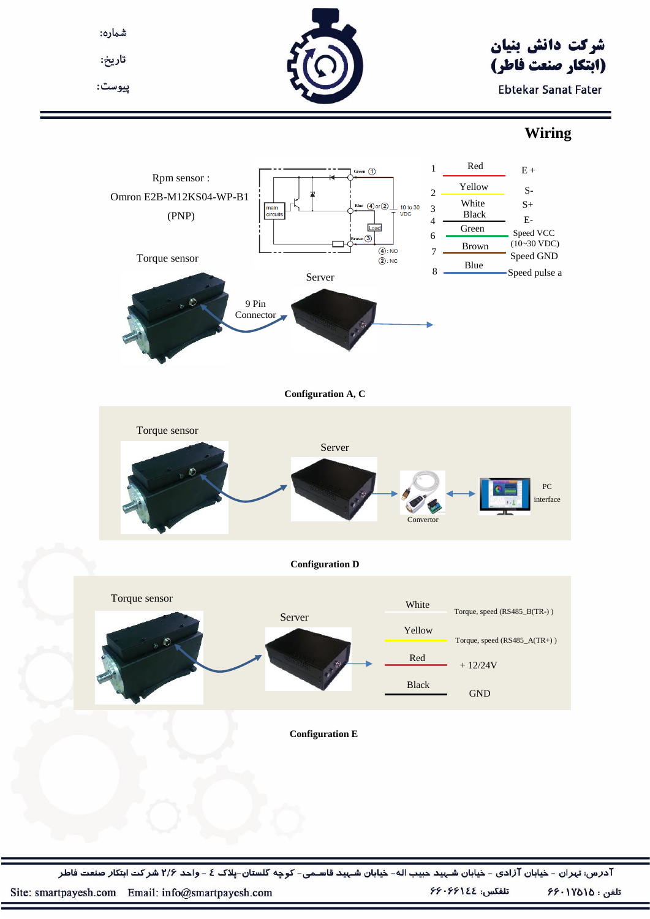شماره:

تاريخ:

پيوست:



## شركت دانش بنيان (ابتكار صنعت فاطر)

**Ebtekar Sanat Fater** 

### **Wiring**



آدرس: تہران - خیابان آزادی - خیابان شـہید حبیب اله- خیابان شـہید قاسـمی- کوچه گلستان-پلاک ٤ - واحد ٢/۶ شركت ابتكار صنعت فاطر